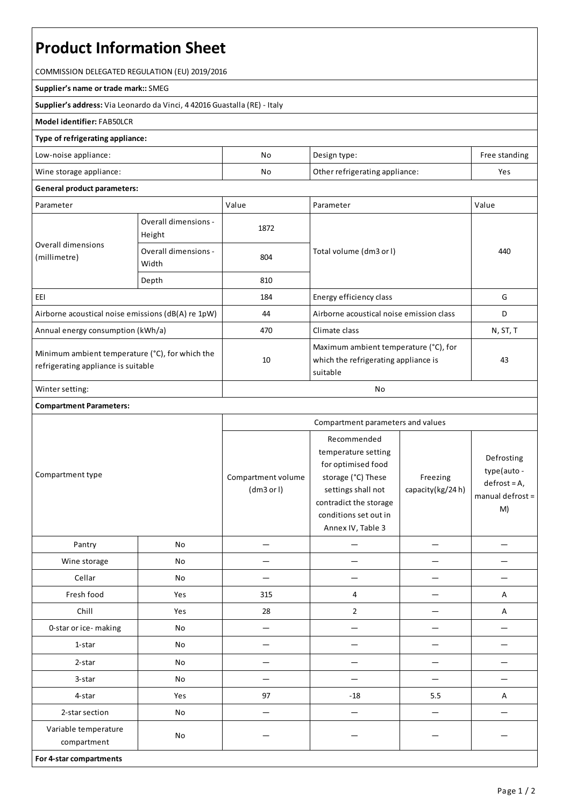# **Product Information Sheet**

COMMISSION DELEGATED REGULATION (EU) 2019/2016

#### **Supplier's name or trade mark::**SMEG

**Supplier's address:** ViaLeonardo da Vinci, 4 42016 Guastalla(RE) - Italy

### **Model identifier:**FAB50LCR

#### **Type of refrigerating appliance:**

| Low-noise appliance:    | No | Design type:                   | Free standing |
|-------------------------|----|--------------------------------|---------------|
| Wine storage appliance: | No | Other refrigerating appliance: | Yes           |

## **General product parameters:**

| Parameter                                                                              |                                | Value | Parameter                                                                                 | Value    |
|----------------------------------------------------------------------------------------|--------------------------------|-------|-------------------------------------------------------------------------------------------|----------|
| Overall dimensions<br>(millimetre)                                                     | Overall dimensions -<br>Height | 1872  |                                                                                           | 440      |
|                                                                                        | Overall dimensions -<br>Width  | 804   | Total volume (dm3 or I)                                                                   |          |
|                                                                                        | Depth                          | 810   |                                                                                           |          |
| EEI                                                                                    |                                | 184   | Energy efficiency class                                                                   | G        |
| Airborne acoustical noise emissions (dB(A) re 1pW)                                     |                                | 44    | Airborne acoustical noise emission class                                                  | D        |
| Annual energy consumption (kWh/a)                                                      |                                | 470   | Climate class                                                                             | N, ST, T |
| Minimum ambient temperature (°C), for which the<br>refrigerating appliance is suitable |                                | 10    | Maximum ambient temperature (°C), for<br>which the refrigerating appliance is<br>suitable | 43       |
| Winter setting:                                                                        |                                | No    |                                                                                           |          |

## **Compartment Parameters:**

| Compartment type                    |     | Compartment parameters and values |                                                                                                                                                                              |                              |                                                                         |
|-------------------------------------|-----|-----------------------------------|------------------------------------------------------------------------------------------------------------------------------------------------------------------------------|------------------------------|-------------------------------------------------------------------------|
|                                     |     | Compartment volume<br>(dm3 or l)  | Recommended<br>temperature setting<br>for optimised food<br>storage (°C) These<br>settings shall not<br>contradict the storage<br>conditions set out in<br>Annex IV, Table 3 | Freezing<br>capacity(kg/24h) | Defrosting<br>type(auto -<br>$defrost = A,$<br>manual defrost $=$<br>M) |
| Pantry                              | No  |                                   |                                                                                                                                                                              |                              |                                                                         |
| Wine storage                        | No  |                                   |                                                                                                                                                                              |                              |                                                                         |
| Cellar                              | No  |                                   |                                                                                                                                                                              |                              |                                                                         |
| Fresh food                          | Yes | 315                               | 4                                                                                                                                                                            |                              | A                                                                       |
| Chill                               | Yes | 28                                | $\overline{2}$                                                                                                                                                               |                              | A                                                                       |
| 0-star or ice-making                | No  |                                   |                                                                                                                                                                              |                              |                                                                         |
| 1-star                              | No  |                                   |                                                                                                                                                                              |                              |                                                                         |
| 2-star                              | No  |                                   |                                                                                                                                                                              |                              |                                                                         |
| 3-star                              | No  |                                   |                                                                                                                                                                              |                              |                                                                         |
| 4-star                              | Yes | 97                                | $-18$                                                                                                                                                                        | 5.5                          | Α                                                                       |
| 2-star section                      | No  |                                   |                                                                                                                                                                              |                              |                                                                         |
| Variable temperature<br>compartment | No  |                                   |                                                                                                                                                                              |                              |                                                                         |
| For 4-star compartments             |     |                                   |                                                                                                                                                                              |                              |                                                                         |